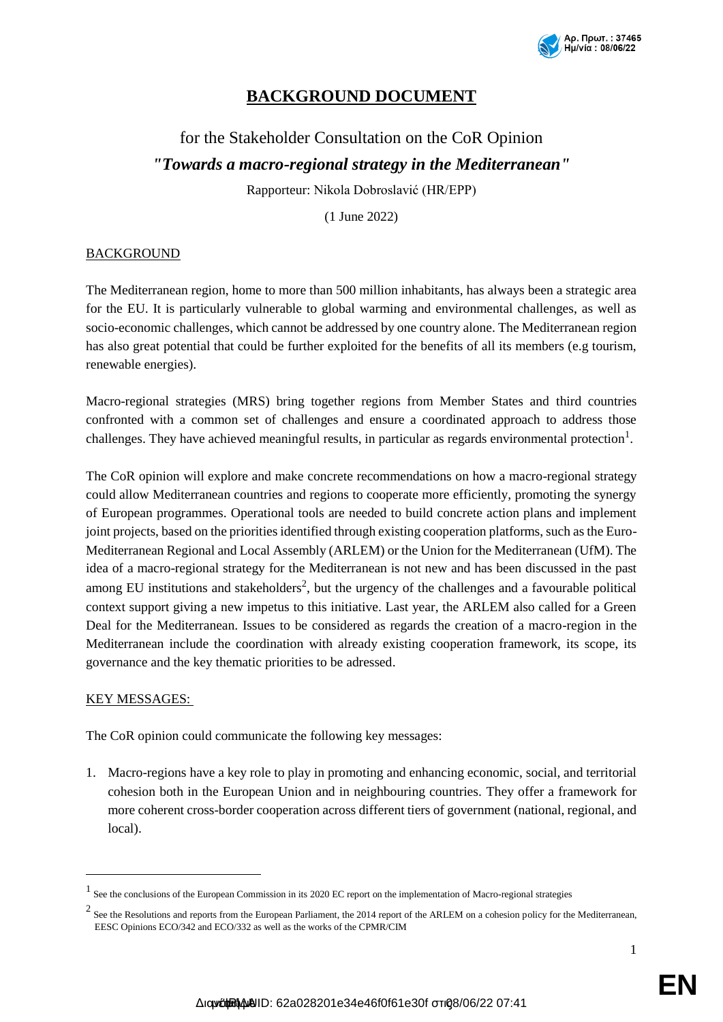

# **BACKGROUND DOCUMENT**

# for the Stakeholder Consultation on the CoR Opinion *"Towards a macro-regional strategy in the Mediterranean"*

Rapporteur: Nikola Dobroslavić (HR/EPP)

(1 June 2022)

# **BACKGROUND**

The Mediterranean region, home to more than 500 million inhabitants, has always been a strategic area for the EU. It is particularly vulnerable to global warming and environmental challenges, as well as socio-economic challenges, which cannot be addressed by one country alone. The Mediterranean region has also great potential that could be further exploited for the benefits of all its members (e.g tourism, renewable energies).

Macro-regional strategies (MRS) bring together regions from Member States and third countries confronted with a common set of challenges and ensure a coordinated approach to address those challenges. They have achieved meaningful results, in particular as regards environmental protection<sup>1</sup>.

The CoR opinion will explore and make concrete recommendations on how a macro-regional strategy could allow Mediterranean countries and regions to cooperate more efficiently, promoting the synergy of European programmes. Operational tools are needed to build concrete action plans and implement joint projects, based on the priorities identified through existing cooperation platforms, such as the Euro-Mediterranean Regional and Local Assembly (ARLEM) or the Union for the Mediterranean (UfM). The idea of a macro-regional strategy for the Mediterranean is not new and has been discussed in the past among EU institutions and stakeholders<sup>2</sup>, but the urgency of the challenges and a favourable political context support giving a new impetus to this initiative. Last year, the ARLEM also called for a Green Deal for the Mediterranean. Issues to be considered as regards the creation of a macro-region in the Mediterranean include the coordination with already existing cooperation framework, its scope, its governance and the key thematic priorities to be adressed.

#### KEY MESSAGES:

-

The CoR opinion could communicate the following key messages:

1. Macro-regions have a key role to play in promoting and enhancing economic, social, and territorial cohesion both in the European Union and in neighbouring countries. They offer a framework for more coherent cross-border cooperation across different tiers of government (national, regional, and local).

**EN**

<sup>&</sup>lt;sup>1</sup> See the conclusions of the European Commission in its 2020 EC report on the implementation of Macro-regional strategies

 $<sup>2</sup>$  See the Resolutions and reports from the European Parliament, the 2014 report of the ARLEM on a cohesion policy for the Mediterranean,</sup> EESC Opinions ECO/342 and ECO/332 as well as the works of the CPMR/CIM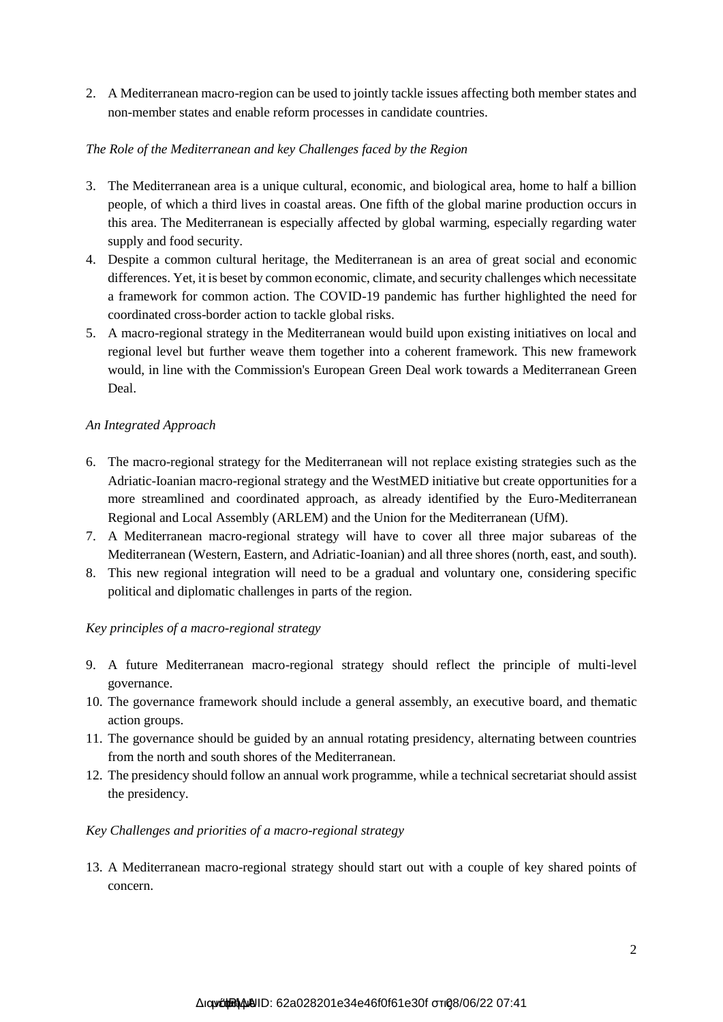2. A Mediterranean macro-region can be used to jointly tackle issues affecting both member states and non-member states and enable reform processes in candidate countries.

# *The Role of the Mediterranean and key Challenges faced by the Region*

- 3. The Mediterranean area is a unique cultural, economic, and biological area, home to half a billion people, of which a third lives in coastal areas. One fifth of the global marine production occurs in this area. The Mediterranean is especially affected by global warming, especially regarding water supply and food security.
- 4. Despite a common cultural heritage, the Mediterranean is an area of great social and economic differences. Yet, it is beset by common economic, climate, and security challenges which necessitate a framework for common action. The COVID-19 pandemic has further highlighted the need for coordinated cross-border action to tackle global risks.
- 5. A macro-regional strategy in the Mediterranean would build upon existing initiatives on local and regional level but further weave them together into a coherent framework. This new framework would, in line with the Commission's European Green Deal work towards a Mediterranean Green Deal.

# *An Integrated Approach*

- 6. The macro-regional strategy for the Mediterranean will not replace existing strategies such as the Adriatic-Ioanian macro-regional strategy and the WestMED initiative but create opportunities for a more streamlined and coordinated approach, as already identified by the Euro-Mediterranean Regional and Local Assembly (ARLEM) and the Union for the Mediterranean (UfM).
- 7. A Mediterranean macro-regional strategy will have to cover all three major subareas of the Mediterranean (Western, Eastern, and Adriatic-Ioanian) and all three shores (north, east, and south).
- 8. This new regional integration will need to be a gradual and voluntary one, considering specific political and diplomatic challenges in parts of the region.

# *Key principles of a macro-regional strategy*

- 9. A future Mediterranean macro-regional strategy should reflect the principle of multi-level governance.
- 10. The governance framework should include a general assembly, an executive board, and thematic action groups.
- 11. The governance should be guided by an annual rotating presidency, alternating between countries from the north and south shores of the Mediterranean.
- 12. The presidency should follow an annual work programme, while a technical secretariat should assist the presidency.

#### *Key Challenges and priorities of a macro-regional strategy*

13. A Mediterranean macro-regional strategy should start out with a couple of key shared points of concern.